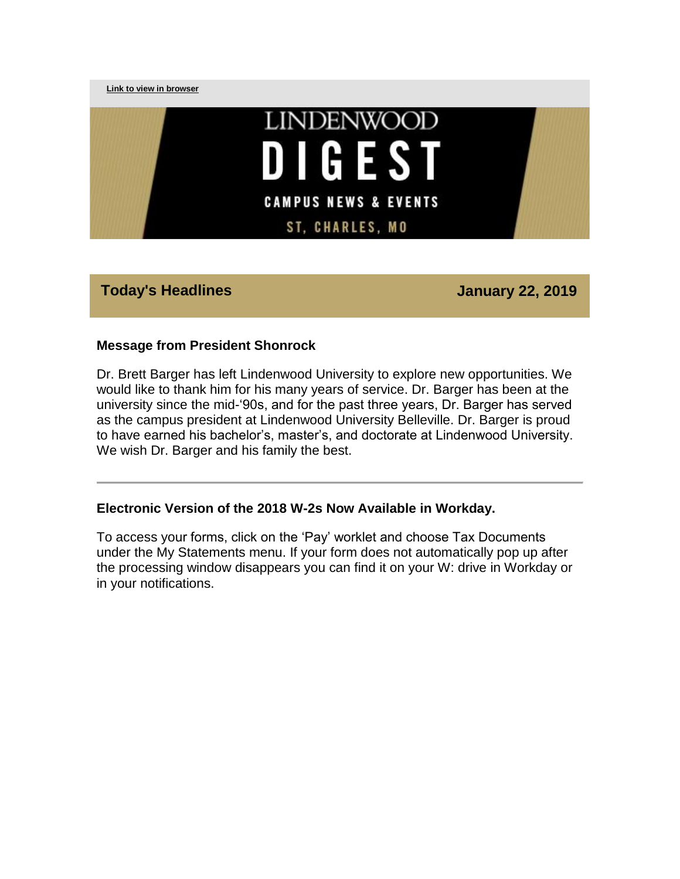

# **Today's Headlines January 22, 2019**

#### **Message from President Shonrock**

Dr. Brett Barger has left Lindenwood University to explore new opportunities. We would like to thank him for his many years of service. Dr. Barger has been at the university since the mid-'90s, and for the past three years, Dr. Barger has served as the campus president at Lindenwood University Belleville. Dr. Barger is proud to have earned his bachelor's, master's, and doctorate at Lindenwood University. We wish Dr. Barger and his family the best.

#### **Electronic Version of the 2018 W-2s Now Available in Workday.**

To access your forms, click on the 'Pay' worklet and choose Tax Documents under the My Statements menu. If your form does not automatically pop up after the processing window disappears you can find it on your W: drive in Workday or in your notifications.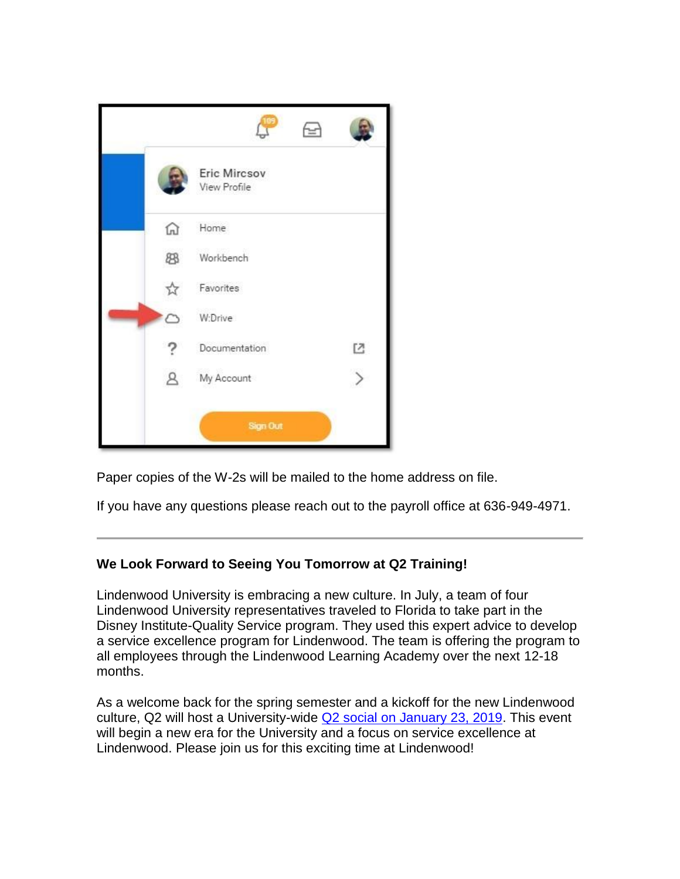|              |                              | f= |              |
|--------------|------------------------------|----|--------------|
|              | Eric Mircsov<br>View Profile |    |              |
| ⋒            | Home                         |    |              |
| 88           | Workbench                    |    |              |
| ☆            | Favorites                    |    |              |
|              | W:Drive                      |    |              |
|              | Documentation                |    | $\mathbb{E}$ |
| $\mathbf{A}$ | My Account                   |    |              |
|              | <b>Sign Out</b>              |    |              |

Paper copies of the W-2s will be mailed to the home address on file.

If you have any questions please reach out to the payroll office at 636-949-4971.

#### **We Look Forward to Seeing You Tomorrow at Q2 Training!**

Lindenwood University is embracing a new culture. In July, a team of four Lindenwood University representatives traveled to Florida to take part in the Disney Institute-Quality Service program. They used this expert advice to develop a service excellence program for Lindenwood. The team is offering the program to all employees through the Lindenwood Learning Academy over the next 12-18 months.

As a welcome back for the spring semester and a kickoff for the new Lindenwood culture, Q2 will host a University-wide [Q2 social on January 23, 2019.](https://hes32-ctp.trendmicro.com/wis/clicktime/v1/query?url=https%3a%2f%2fcustapp.marketvolt.com%2flink%2ffgP3vfV9wV%3fCM%3d1271993493%26X%3d70525052&umid=1bcb4c57-70f3-486f-8af8-1d57ea63a027&auth=bc7ac43e330fa629f0cfb11786c85e83c10d06b8-b98c1edeb1a0c805fb37cb37054b042f97b80108) This event will begin a new era for the University and a focus on service excellence at Lindenwood. Please join us for this exciting time at Lindenwood!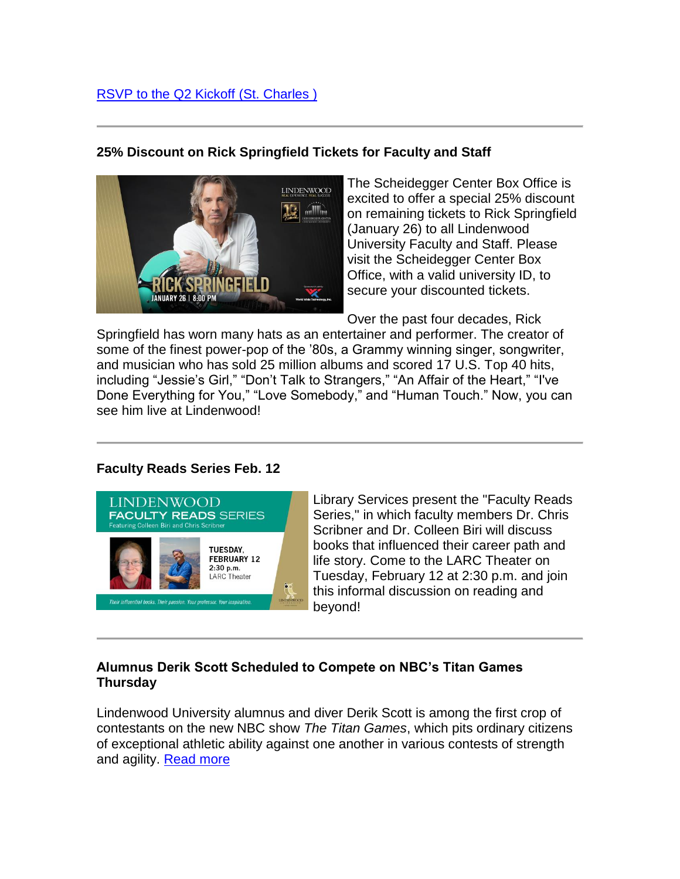# **25% Discount on Rick Springfield Tickets for Faculty and Staff**



The Scheidegger Center Box Office is excited to offer a special 25% discount on remaining tickets to Rick Springfield (January 26) to all Lindenwood University Faculty and Staff. Please visit the Scheidegger Center Box Office, with a valid university ID, to secure your discounted tickets.

Over the past four decades, Rick

Springfield has worn many hats as an entertainer and performer. The creator of some of the finest power-pop of the '80s, a Grammy winning singer, songwriter, and musician who has sold 25 million albums and scored 17 U.S. Top 40 hits, including "Jessie's Girl," "Don't Talk to Strangers," "An Affair of the Heart," "I've Done Everything for You," "Love Somebody," and "Human Touch." Now, you can see him live at Lindenwood!

## **Faculty Reads Series Feb. 12**



Library Services present the "Faculty Reads Series," in which faculty members Dr. Chris Scribner and Dr. Colleen Biri will discuss books that influenced their career path and life story. Come to the LARC Theater on Tuesday, February 12 at 2:30 p.m. and join this informal discussion on reading and beyond!

## **Alumnus Derik Scott Scheduled to Compete on NBC's Titan Games Thursday**

Lindenwood University alumnus and diver Derik Scott is among the first crop of contestants on the new NBC show *The Titan Games*, which pits ordinary citizens of exceptional athletic ability against one another in various contests of strength and agility. [Read more](https://hes32-ctp.trendmicro.com/wis/clicktime/v1/query?url=https%3a%2f%2fcustapp.marketvolt.com%2flink%2fdq3zK1mSmc%3fCM%3d1271993493%26X%3d70525052&umid=1bcb4c57-70f3-486f-8af8-1d57ea63a027&auth=bc7ac43e330fa629f0cfb11786c85e83c10d06b8-355d1b22baf144374a249d361a8e13bbada28059)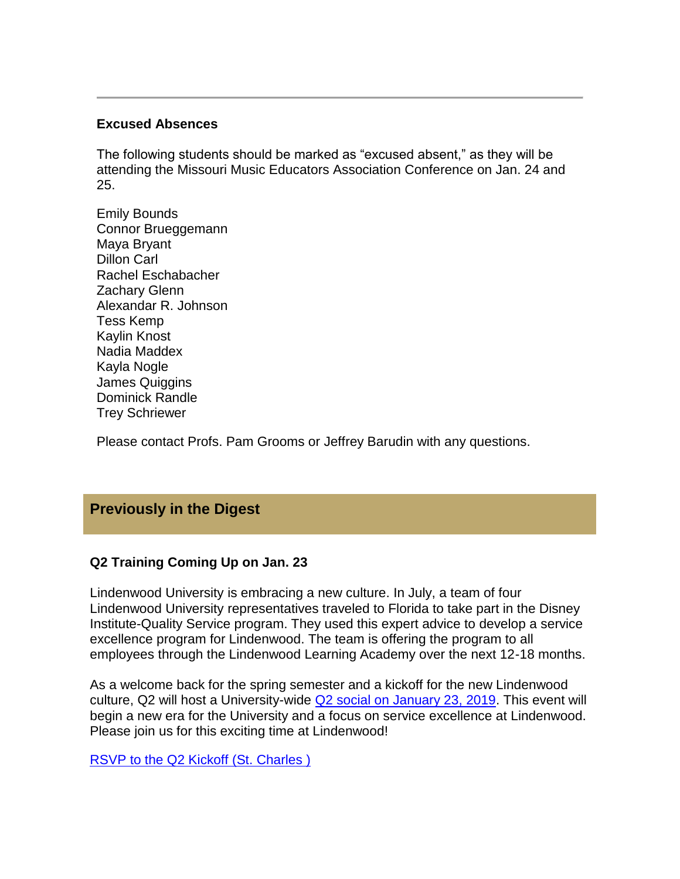#### **Excused Absences**

The following students should be marked as "excused absent," as they will be attending the Missouri Music Educators Association Conference on Jan. 24 and 25.

Emily Bounds Connor Brueggemann Maya Bryant Dillon Carl Rachel Eschabacher Zachary Glenn Alexandar R. Johnson Tess Kemp Kaylin Knost Nadia Maddex Kayla Nogle James Quiggins Dominick Randle Trey Schriewer

Please contact Profs. Pam Grooms or Jeffrey Barudin with any questions.

# **Previously in the Digest**

#### **Q2 Training Coming Up on Jan. 23**

Lindenwood University is embracing a new culture. In July, a team of four Lindenwood University representatives traveled to Florida to take part in the Disney Institute-Quality Service program. They used this expert advice to develop a service excellence program for Lindenwood. The team is offering the program to all employees through the Lindenwood Learning Academy over the next 12-18 months.

As a welcome back for the spring semester and a kickoff for the new Lindenwood culture, Q2 will host a University-wide [Q2 social on January 23, 2019.](https://hes32-ctp.trendmicro.com/wis/clicktime/v1/query?url=https%3a%2f%2fcustapp.marketvolt.com%2flink%2ffgP3vfV9wV%3fCM%3d1271993493%26X%3d70525052&umid=1bcb4c57-70f3-486f-8af8-1d57ea63a027&auth=bc7ac43e330fa629f0cfb11786c85e83c10d06b8-b98c1edeb1a0c805fb37cb37054b042f97b80108) This event will begin a new era for the University and a focus on service excellence at Lindenwood. Please join us for this exciting time at Lindenwood!

[RSVP to the Q2 Kickoff \(St. Charles \)](https://hes32-ctp.trendmicro.com/wis/clicktime/v1/query?url=https%3a%2f%2fcustapp.marketvolt.com%2flink%2fluxEL1Nwfa%3fCM%3d1271993493%26X%3d70525052&umid=1bcb4c57-70f3-486f-8af8-1d57ea63a027&auth=bc7ac43e330fa629f0cfb11786c85e83c10d06b8-627ececbcf7eb99c89fe92c6d07b3c0fe948de4e)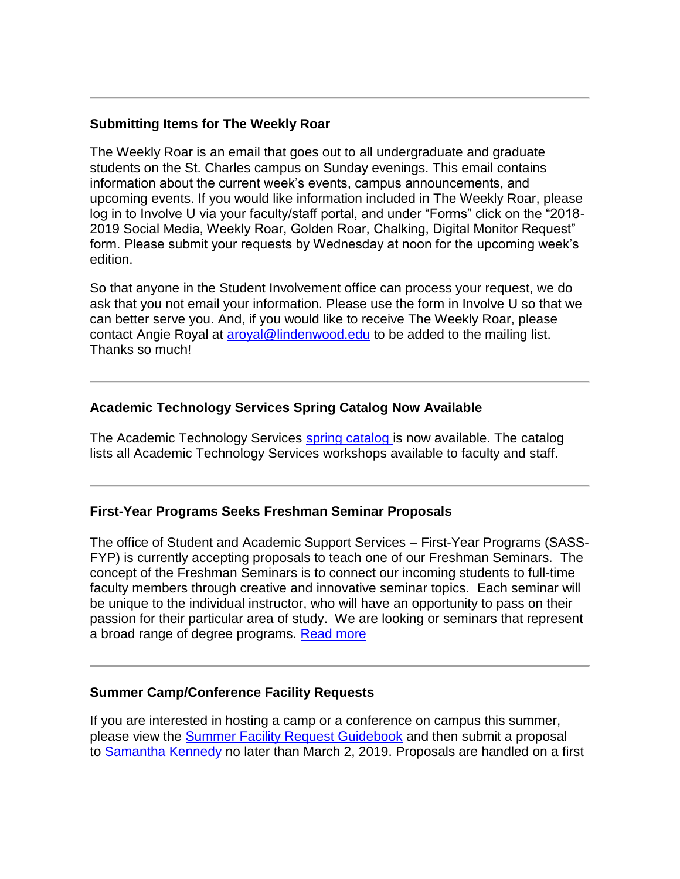### **Submitting Items for The Weekly Roar**

The Weekly Roar is an email that goes out to all undergraduate and graduate students on the St. Charles campus on Sunday evenings. This email contains information about the current week's events, campus announcements, and upcoming events. If you would like information included in The Weekly Roar, please log in to Involve U via your faculty/staff portal, and under "Forms" click on the "2018- 2019 Social Media, Weekly Roar, Golden Roar, Chalking, Digital Monitor Request" form. Please submit your requests by Wednesday at noon for the upcoming week's edition.

So that anyone in the Student Involvement office can process your request, we do ask that you not email your information. Please use the form in Involve U so that we can better serve you. And, if you would like to receive The Weekly Roar, please contact Angie Royal at [aroyal@lindenwood.edu](mailto:aroyal@lindenwood.edu) to be added to the mailing list. Thanks so much!

## **Academic Technology Services Spring Catalog Now Available**

The Academic Technology Services [spring catalog i](https://hes32-ctp.trendmicro.com/wis/clicktime/v1/query?url=https%3a%2f%2fcustapp.marketvolt.com%2flink%2fpaelk9FgMo%3fCM%3d1271993493%26X%3d70525052&umid=1bcb4c57-70f3-486f-8af8-1d57ea63a027&auth=bc7ac43e330fa629f0cfb11786c85e83c10d06b8-eff89f0a6f65e6ba69f2ef78d7ae3c7d33687f65)s now available. The catalog lists all Academic Technology Services workshops available to faculty and staff.

#### **First-Year Programs Seeks Freshman Seminar Proposals**

The office of Student and Academic Support Services – First-Year Programs (SASS-FYP) is currently accepting proposals to teach one of our Freshman Seminars. The concept of the Freshman Seminars is to connect our incoming students to full-time faculty members through creative and innovative seminar topics. Each seminar will be unique to the individual instructor, who will have an opportunity to pass on their passion for their particular area of study. We are looking or seminars that represent a broad range of degree programs. [Read more](https://hes32-ctp.trendmicro.com/wis/clicktime/v1/query?url=https%3a%2f%2fcustapp.marketvolt.com%2flink%2f6SFvMMC4VA%3fCM%3d1271993493%26X%3d70525052&umid=1bcb4c57-70f3-486f-8af8-1d57ea63a027&auth=bc7ac43e330fa629f0cfb11786c85e83c10d06b8-fd8e7707b7a342534fb1bbfc2760e3bb5f140a58)

#### **Summer Camp/Conference Facility Requests**

If you are interested in hosting a camp or a conference on campus this summer, please view the [Summer Facility Request Guidebook](https://hes32-ctp.trendmicro.com/wis/clicktime/v1/query?url=https%3a%2f%2fcustapp.marketvolt.com%2flink%2fYUXB4HK5os%3fCM%3d1271993493%26X%3d70525052&umid=1bcb4c57-70f3-486f-8af8-1d57ea63a027&auth=bc7ac43e330fa629f0cfb11786c85e83c10d06b8-bfb82122ce91c9d5d2d719de158a04d8a08db10e) and then submit a proposal to [Samantha Kennedy](mailto:skennedy@lindenwood.edu?subject=2019%20Summer%20Camp/Conference%20Interest) no later than March 2, 2019. Proposals are handled on a first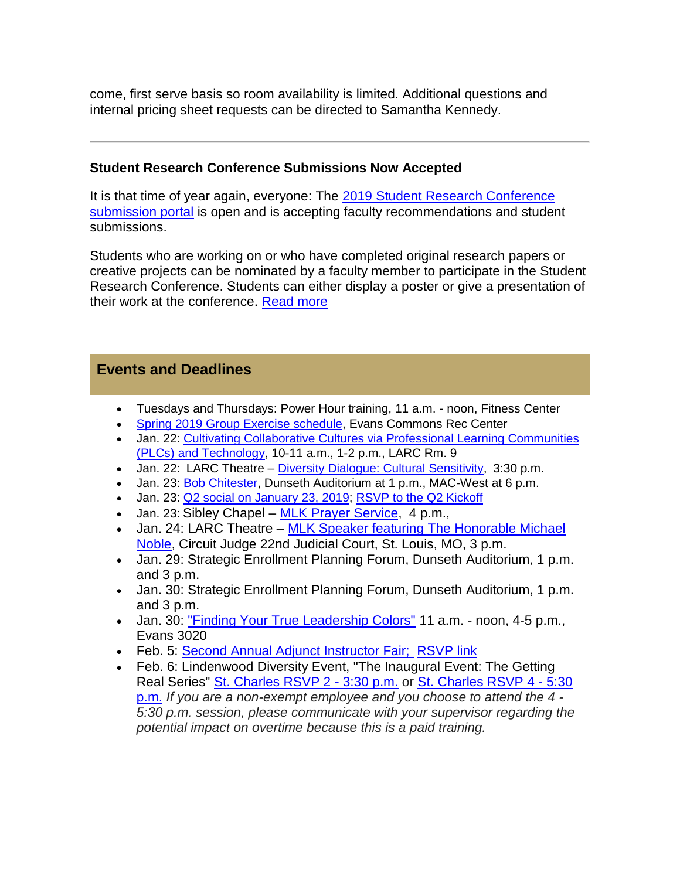come, first serve basis so room availability is limited. Additional questions and internal pricing sheet requests can be directed to Samantha Kennedy.

#### **Student Research Conference Submissions Now Accepted**

It is that time of year again, everyone: The [2019 Student Research Conference](https://hes32-ctp.trendmicro.com/wis/clicktime/v1/query?url=https%3a%2f%2fcustapp.marketvolt.com%2flink%2f2i33D7H7cw%3fCM%3d1271993493%26X%3d70525052&umid=1bcb4c57-70f3-486f-8af8-1d57ea63a027&auth=bc7ac43e330fa629f0cfb11786c85e83c10d06b8-64f79a53cd8a5425c5d2aeb603a8ebe35d93eeef)  [submission portal](https://hes32-ctp.trendmicro.com/wis/clicktime/v1/query?url=https%3a%2f%2fcustapp.marketvolt.com%2flink%2f2i33D7H7cw%3fCM%3d1271993493%26X%3d70525052&umid=1bcb4c57-70f3-486f-8af8-1d57ea63a027&auth=bc7ac43e330fa629f0cfb11786c85e83c10d06b8-64f79a53cd8a5425c5d2aeb603a8ebe35d93eeef) is open and is accepting faculty recommendations and student submissions.

Students who are working on or who have completed original research papers or creative projects can be nominated by a faculty member to participate in the Student Research Conference. Students can either display a poster or give a presentation of their work at the conference. [Read more](https://hes32-ctp.trendmicro.com/wis/clicktime/v1/query?url=https%3a%2f%2fcustapp.marketvolt.com%2flink%2f5LH1F9YQnr%3fCM%3d1271993493%26X%3d70525052&umid=1bcb4c57-70f3-486f-8af8-1d57ea63a027&auth=bc7ac43e330fa629f0cfb11786c85e83c10d06b8-ff29bd12359a3e32e7ce7964afa67416dbc1e5b1)

# **Events and Deadlines**

- Tuesdays and Thursdays: Power Hour training, 11 a.m. noon, Fitness Center
- [Spring 2019 Group Exercise schedule,](https://hes32-ctp.trendmicro.com/wis/clicktime/v1/query?url=https%3a%2f%2fcustapp.marketvolt.com%2flink%2f95ZPZUbiXo%3fCM%3d1271993493%26X%3d70525052&umid=1bcb4c57-70f3-486f-8af8-1d57ea63a027&auth=bc7ac43e330fa629f0cfb11786c85e83c10d06b8-242b725b50443a226b59c8ab587ef9abffd2b4d1) Evans Commons Rec Center
- Jan. 22: [Cultivating Collaborative Cultures via Professional Learning Communities](https://hes32-ctp.trendmicro.com/wis/clicktime/v1/query?url=https%3a%2f%2fcustapp.marketvolt.com%2flink%2fr8CfDtkpNA%3fCM%3d1271993493%26X%3d70525052&umid=1bcb4c57-70f3-486f-8af8-1d57ea63a027&auth=bc7ac43e330fa629f0cfb11786c85e83c10d06b8-b5800c4c48537ad2576adb2e5f718d9f1dc6088d)  [\(PLCs\) and Technology,](https://hes32-ctp.trendmicro.com/wis/clicktime/v1/query?url=https%3a%2f%2fcustapp.marketvolt.com%2flink%2fr8CfDtkpNA%3fCM%3d1271993493%26X%3d70525052&umid=1bcb4c57-70f3-486f-8af8-1d57ea63a027&auth=bc7ac43e330fa629f0cfb11786c85e83c10d06b8-b5800c4c48537ad2576adb2e5f718d9f1dc6088d) 10-11 a.m., 1-2 p.m., LARC Rm. 9
- Jan. 22: LARC Theatre [Diversity Dialogue: Cultural Sensitivity,](https://hes32-ctp.trendmicro.com/wis/clicktime/v1/query?url=https%3a%2f%2fcustapp.marketvolt.com%2flink%2fF7uXZB7SLf%3fCM%3d1271993493%26X%3d70525052&umid=1bcb4c57-70f3-486f-8af8-1d57ea63a027&auth=bc7ac43e330fa629f0cfb11786c85e83c10d06b8-ad70e57855089d91659aeca55fd05c908ecb83d9) 3:30 p.m.
- Jan. 23: [Bob Chitester,](https://hes32-ctp.trendmicro.com/wis/clicktime/v1/query?url=https%3a%2f%2fcustapp.marketvolt.com%2flink%2fvZgpDoRCb1%3fCM%3d1271993493%26X%3d70525052&umid=1bcb4c57-70f3-486f-8af8-1d57ea63a027&auth=bc7ac43e330fa629f0cfb11786c85e83c10d06b8-2b0c91b7b050fdfad4291c741ab573dd916c9739) Dunseth Auditorium at 1 p.m., MAC-West at 6 p.m.
- Jan. 23: [Q2 social on January 23, 2019;](https://hes32-ctp.trendmicro.com/wis/clicktime/v1/query?url=https%3a%2f%2fcustapp.marketvolt.com%2flink%2ffgP3vfV9wV%3fCM%3d1271993493%26X%3d70525052&umid=1bcb4c57-70f3-486f-8af8-1d57ea63a027&auth=bc7ac43e330fa629f0cfb11786c85e83c10d06b8-b98c1edeb1a0c805fb37cb37054b042f97b80108) [RSVP to the Q2 Kickoff](https://hes32-ctp.trendmicro.com/wis/clicktime/v1/query?url=https%3a%2f%2fcustapp.marketvolt.com%2flink%2fluxEL1Nwfa%3fCM%3d1271993493%26X%3d70525052&umid=1bcb4c57-70f3-486f-8af8-1d57ea63a027&auth=bc7ac43e330fa629f0cfb11786c85e83c10d06b8-627ececbcf7eb99c89fe92c6d07b3c0fe948de4e)
- Jan. 23: Sibley Chapel [MLK Prayer Service,](https://hes32-ctp.trendmicro.com/wis/clicktime/v1/query?url=https%3a%2f%2fcustapp.marketvolt.com%2flink%2fF7uXZB7SLf%3fCM%3d1271993493%26X%3d70525052&umid=1bcb4c57-70f3-486f-8af8-1d57ea63a027&auth=bc7ac43e330fa629f0cfb11786c85e83c10d06b8-ad70e57855089d91659aeca55fd05c908ecb83d9) 4 p.m.,
- Jan. 24: LARC Theatre [MLK Speaker featuring The Honorable Michael](https://hes32-ctp.trendmicro.com/wis/clicktime/v1/query?url=https%3a%2f%2fcustapp.marketvolt.com%2flink%2fF7uXZB7SLf%3fCM%3d1271993493%26X%3d70525052&umid=1bcb4c57-70f3-486f-8af8-1d57ea63a027&auth=bc7ac43e330fa629f0cfb11786c85e83c10d06b8-ad70e57855089d91659aeca55fd05c908ecb83d9)  [Noble,](https://hes32-ctp.trendmicro.com/wis/clicktime/v1/query?url=https%3a%2f%2fcustapp.marketvolt.com%2flink%2fF7uXZB7SLf%3fCM%3d1271993493%26X%3d70525052&umid=1bcb4c57-70f3-486f-8af8-1d57ea63a027&auth=bc7ac43e330fa629f0cfb11786c85e83c10d06b8-ad70e57855089d91659aeca55fd05c908ecb83d9) Circuit Judge 22nd Judicial Court, St. Louis, MO, 3 p.m.
- Jan. 29: Strategic Enrollment Planning Forum, Dunseth Auditorium, 1 p.m. and 3 p.m.
- Jan. 30: Strategic Enrollment Planning Forum, Dunseth Auditorium, 1 p.m. and 3 p.m.
- Jan. 30: ["Finding Your True Leadership Colors"](https://hes32-ctp.trendmicro.com/wis/clicktime/v1/query?url=https%3a%2f%2fcustapp.marketvolt.com%2flink%2fwFXRh7cCa5%3fCM%3d1271993493%26X%3d70525052&umid=1bcb4c57-70f3-486f-8af8-1d57ea63a027&auth=bc7ac43e330fa629f0cfb11786c85e83c10d06b8-7c1a0df007839bc5c1117b43eef5e935a7859898) 11 a.m. noon, 4-5 p.m., Evans 3020
- Feb. 5: [Second Annual Adjunct Instructor Fair;](https://hes32-ctp.trendmicro.com/wis/clicktime/v1/query?url=https%3a%2f%2fcustapp.marketvolt.com%2flink%2f8ifWmpipIw%3fCM%3d1271993493%26X%3d70525052&umid=1bcb4c57-70f3-486f-8af8-1d57ea63a027&auth=bc7ac43e330fa629f0cfb11786c85e83c10d06b8-3e442f2b7421172053e003985d2760ba709c0d44) [RSVP link](https://hes32-ctp.trendmicro.com/wis/clicktime/v1/query?url=https%3a%2f%2fcustapp.marketvolt.com%2flink%2fXXlFuFF9Kt%3fCM%3d1271993493%26X%3d70525052&umid=1bcb4c57-70f3-486f-8af8-1d57ea63a027&auth=bc7ac43e330fa629f0cfb11786c85e83c10d06b8-b4147115d52f176a259828dbb0b14e7738bb990f)
- Feb. 6: Lindenwood Diversity Event, "The Inaugural Event: The Getting Real Series" [St. Charles RSVP 2 -](https://hes32-ctp.trendmicro.com/wis/clicktime/v1/query?url=https%3a%2f%2fcustapp.marketvolt.com%2flink%2fz7gBfpwCm5%3fCM%3d1271993493%26X%3d70525052&umid=1bcb4c57-70f3-486f-8af8-1d57ea63a027&auth=bc7ac43e330fa629f0cfb11786c85e83c10d06b8-bcef1063e325cb2f7c37fc78aef29ad312e207ef) 3:30 p.m. or [St. Charles RSVP 4 -](https://hes32-ctp.trendmicro.com/wis/clicktime/v1/query?url=https%3a%2f%2fcustapp.marketvolt.com%2flink%2fkEcQabxzbh%3fCM%3d1271993493%26X%3d70525052&umid=1bcb4c57-70f3-486f-8af8-1d57ea63a027&auth=bc7ac43e330fa629f0cfb11786c85e83c10d06b8-3be8ddba6806d8ffe8498b4c3fef3d88eda282f0) 5:30 [p.m.](https://hes32-ctp.trendmicro.com/wis/clicktime/v1/query?url=https%3a%2f%2fcustapp.marketvolt.com%2flink%2fkEcQabxzbh%3fCM%3d1271993493%26X%3d70525052&umid=1bcb4c57-70f3-486f-8af8-1d57ea63a027&auth=bc7ac43e330fa629f0cfb11786c85e83c10d06b8-3be8ddba6806d8ffe8498b4c3fef3d88eda282f0) *If you are a non-exempt employee and you choose to attend the 4 - 5:30 p.m. session, please communicate with your supervisor regarding the potential impact on overtime because this is a paid training.*